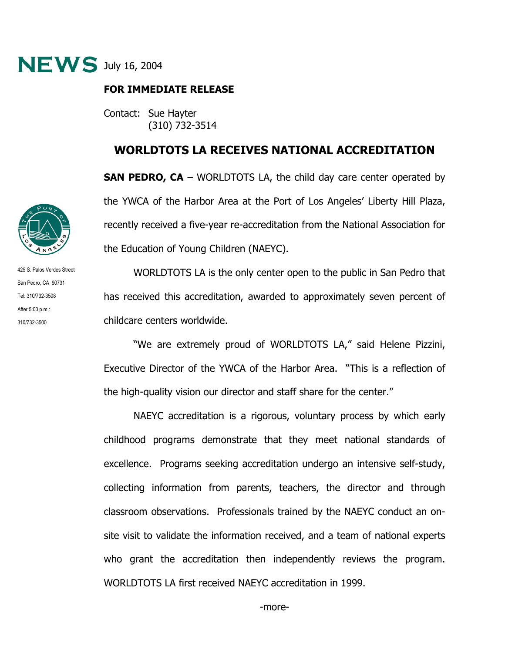

## **FOR IMMEDIATE RELEASE**

Contact: Sue Hayter (310) 732-3514

## **WORLDTOTS LA RECEIVES NATIONAL ACCREDITATION**

**SAN PEDRO, CA** – WORLDTOTS LA, the child day care center operated by the YWCA of the Harbor Area at the Port of Los Angeles' Liberty Hill Plaza, recently received a five-year re-accreditation from the National Association for the Education of Young Children (NAEYC).

 WORLDTOTS LA is the only center open to the public in San Pedro that has received this accreditation, awarded to approximately seven percent of childcare centers worldwide.

 "We are extremely proud of WORLDTOTS LA," said Helene Pizzini, Executive Director of the YWCA of the Harbor Area. "This is a reflection of the high-quality vision our director and staff share for the center."

 NAEYC accreditation is a rigorous, voluntary process by which early childhood programs demonstrate that they meet national standards of excellence. Programs seeking accreditation undergo an intensive self-study, collecting information from parents, teachers, the director and through classroom observations. Professionals trained by the NAEYC conduct an onsite visit to validate the information received, and a team of national experts who grant the accreditation then independently reviews the program. WORLDTOTS LA first received NAEYC accreditation in 1999.



425 S. Palos Verdes Street San Pedro, CA 90731 Tel: 310/732-3508 After 5:00 p.m.: 310/732-3500